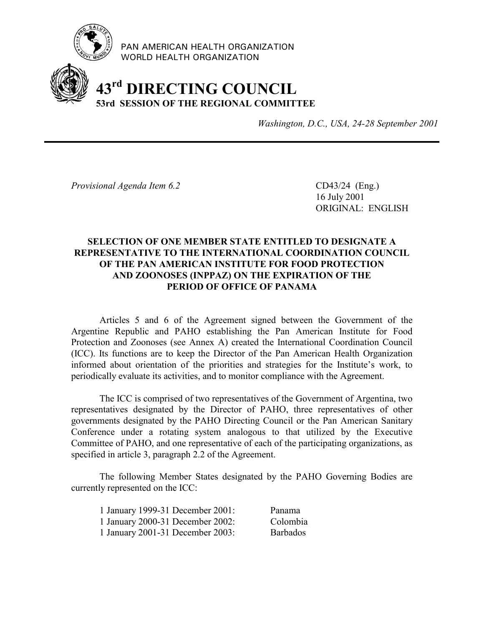

PAN AMERICAN HEALTH ORGANIZATION WORLD HEALTH ORGANIZATION

# **43rd DIRECTING COUNCIL 53rd SESSION OF THE REGIONAL COMMITTEE**

*Washington, D.C., USA, 24-28 September 2001*

*Provisional Agenda Item 6.2* CD43/24 (Eng.)

16 July 2001 ORIGINAL: ENGLISH

# **SELECTION OF ONE MEMBER STATE ENTITLED TO DESIGNATE A REPRESENTATIVE TO THE INTERNATIONAL COORDINATION COUNCIL OF THE PAN AMERICAN INSTITUTE FOR FOOD PROTECTION AND ZOONOSES (INPPAZ) ON THE EXPIRATION OF THE PERIOD OF OFFICE OF PANAMA**

Articles 5 and 6 of the Agreement signed between the Government of the Argentine Republic and PAHO establishing the Pan American Institute for Food Protection and Zoonoses (see Annex A) created the International Coordination Council (ICC). Its functions are to keep the Director of the Pan American Health Organization informed about orientation of the priorities and strategies for the Institute's work, to periodically evaluate its activities, and to monitor compliance with the Agreement.

The ICC is comprised of two representatives of the Government of Argentina, two representatives designated by the Director of PAHO, three representatives of other governments designated by the PAHO Directing Council or the Pan American Sanitary Conference under a rotating system analogous to that utilized by the Executive Committee of PAHO, and one representative of each of the participating organizations, as specified in article 3, paragraph 2.2 of the Agreement.

The following Member States designated by the PAHO Governing Bodies are currently represented on the ICC:

| 1 January 1999-31 December 2001: | Panama          |
|----------------------------------|-----------------|
| 1 January 2000-31 December 2002: | Colombia        |
| 1 January 2001-31 December 2003: | <b>Barbados</b> |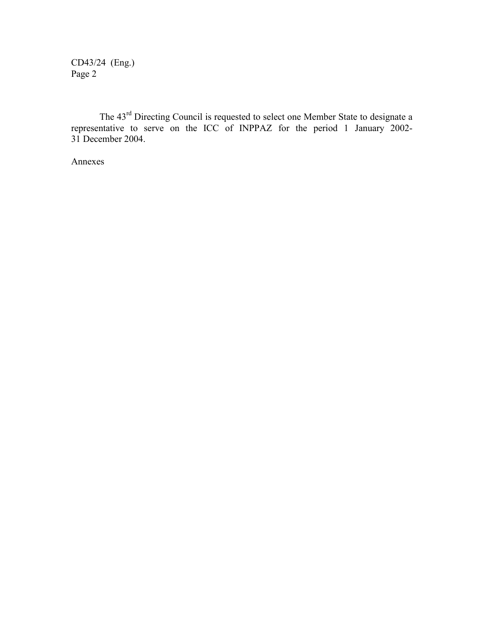CD43/24 (Eng.) Page 2

The 43rd Directing Council is requested to select one Member State to designate a representative to serve on the ICC of INPPAZ for the period 1 January 2002-31 December 2004.

Annexes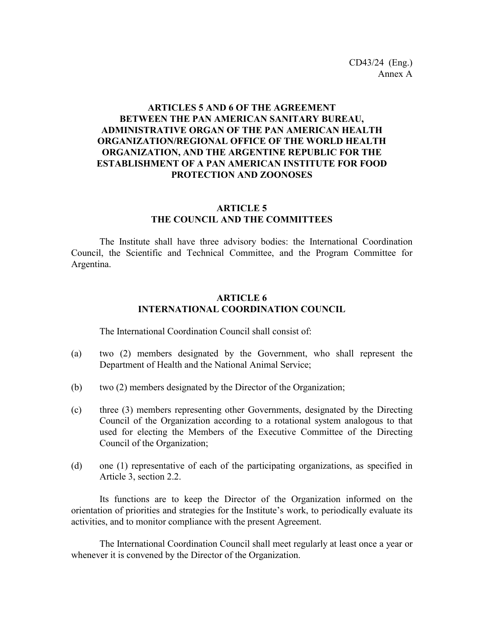## **ARTICLES 5 AND 6 OF THE AGREEMENT BETWEEN THE PAN AMERICAN SANITARY BUREAU, ADMINISTRATIVE ORGAN OF THE PAN AMERICAN HEALTH ORGANIZATION/REGIONAL OFFICE OF THE WORLD HEALTH ORGANIZATION, AND THE ARGENTINE REPUBLIC FOR THE ESTABLISHMENT OF A PAN AMERICAN INSTITUTE FOR FOOD PROTECTION AND ZOONOSES**

#### **ARTICLE 5 THE COUNCIL AND THE COMMITTEES**

The Institute shall have three advisory bodies: the International Coordination Council, the Scientific and Technical Committee, and the Program Committee for Argentina.

#### **ARTICLE 6 INTERNATIONAL COORDINATION COUNCIL**

The International Coordination Council shall consist of:

- (a) two (2) members designated by the Government, who shall represent the Department of Health and the National Animal Service;
- (b) two (2) members designated by the Director of the Organization;
- (c) three (3) members representing other Governments, designated by the Directing Council of the Organization according to a rotational system analogous to that used for electing the Members of the Executive Committee of the Directing Council of the Organization;
- (d) one (1) representative of each of the participating organizations, as specified in Article 3, section 2.2.

Its functions are to keep the Director of the Organization informed on the orientation of priorities and strategies for the Institute's work, to periodically evaluate its activities, and to monitor compliance with the present Agreement.

The International Coordination Council shall meet regularly at least once a year or whenever it is convened by the Director of the Organization.